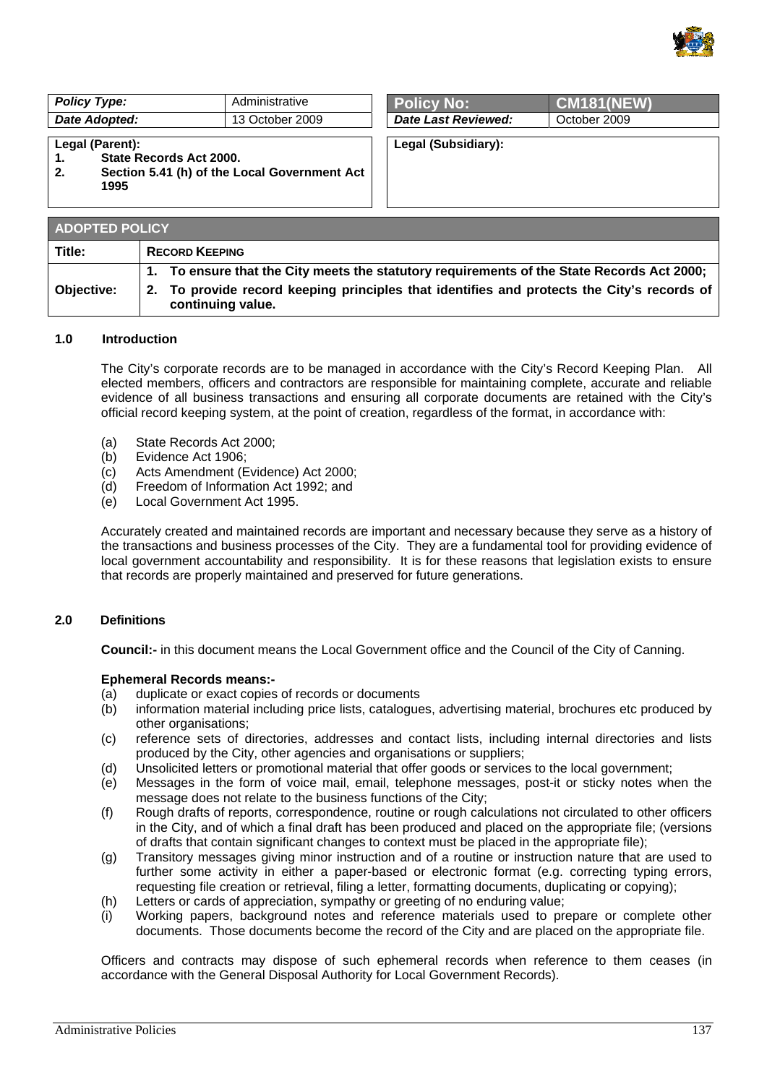

| <b>Policy Type:</b> | Administrative  | <b>FPolicy No:</b>  | $\sqrt{\text{CM181(NEW)}}$ |
|---------------------|-----------------|---------------------|----------------------------|
| Date Adopted:       | 13 October 2009 | Date Last Reviewed: | October 2009               |

#### **Legal (Parent):**

- **1. State Records Act 2000.**
- **2. Section 5.41 (h) of the Local Government Act 1995**

| <b>Policy No:</b>          | <b>CM181(NEW)</b> |
|----------------------------|-------------------|
| <b>Date Last Reviewed:</b> | October 2009      |

**Legal (Subsidiary):** 

| <b>ADOPTED POLICY</b> |                                                                                                                 |  |
|-----------------------|-----------------------------------------------------------------------------------------------------------------|--|
| Title:                | <b>RECORD KEEPING</b>                                                                                           |  |
|                       | 1. To ensure that the City meets the statutory requirements of the State Records Act 2000;                      |  |
| Objective:            | 2. To provide record keeping principles that identifies and protects the City's records of<br>continuing value. |  |

### **1.0 Introduction**

The City's corporate records are to be managed in accordance with the City's Record Keeping Plan. All elected members, officers and contractors are responsible for maintaining complete, accurate and reliable evidence of all business transactions and ensuring all corporate documents are retained with the City's official record keeping system, at the point of creation, regardless of the format, in accordance with:

- (a) State Records Act 2000;
- (b) Evidence Act 1906;
- (c) Acts Amendment (Evidence) Act 2000;
- (d) Freedom of Information Act 1992; and
- (e) Local Government Act 1995.

Accurately created and maintained records are important and necessary because they serve as a history of the transactions and business processes of the City. They are a fundamental tool for providing evidence of local government accountability and responsibility. It is for these reasons that legislation exists to ensure that records are properly maintained and preserved for future generations.

# **2.0 Definitions**

**Council:-** in this document means the Local Government office and the Council of the City of Canning.

### **Ephemeral Records means:-**

- (a) duplicate or exact copies of records or documents
- (b) information material including price lists, catalogues, advertising material, brochures etc produced by other organisations;
- (c) reference sets of directories, addresses and contact lists, including internal directories and lists produced by the City, other agencies and organisations or suppliers;
- (d) Unsolicited letters or promotional material that offer goods or services to the local government;
- (e) Messages in the form of voice mail, email, telephone messages, post-it or sticky notes when the message does not relate to the business functions of the City;
- (f) Rough drafts of reports, correspondence, routine or rough calculations not circulated to other officers in the City, and of which a final draft has been produced and placed on the appropriate file; (versions of drafts that contain significant changes to context must be placed in the appropriate file);
- (g) Transitory messages giving minor instruction and of a routine or instruction nature that are used to further some activity in either a paper-based or electronic format (e.g. correcting typing errors, requesting file creation or retrieval, filing a letter, formatting documents, duplicating or copying);
- (h) Letters or cards of appreciation, sympathy or greeting of no enduring value;
- (i) Working papers, background notes and reference materials used to prepare or complete other documents. Those documents become the record of the City and are placed on the appropriate file.

Officers and contracts may dispose of such ephemeral records when reference to them ceases (in accordance with the General Disposal Authority for Local Government Records).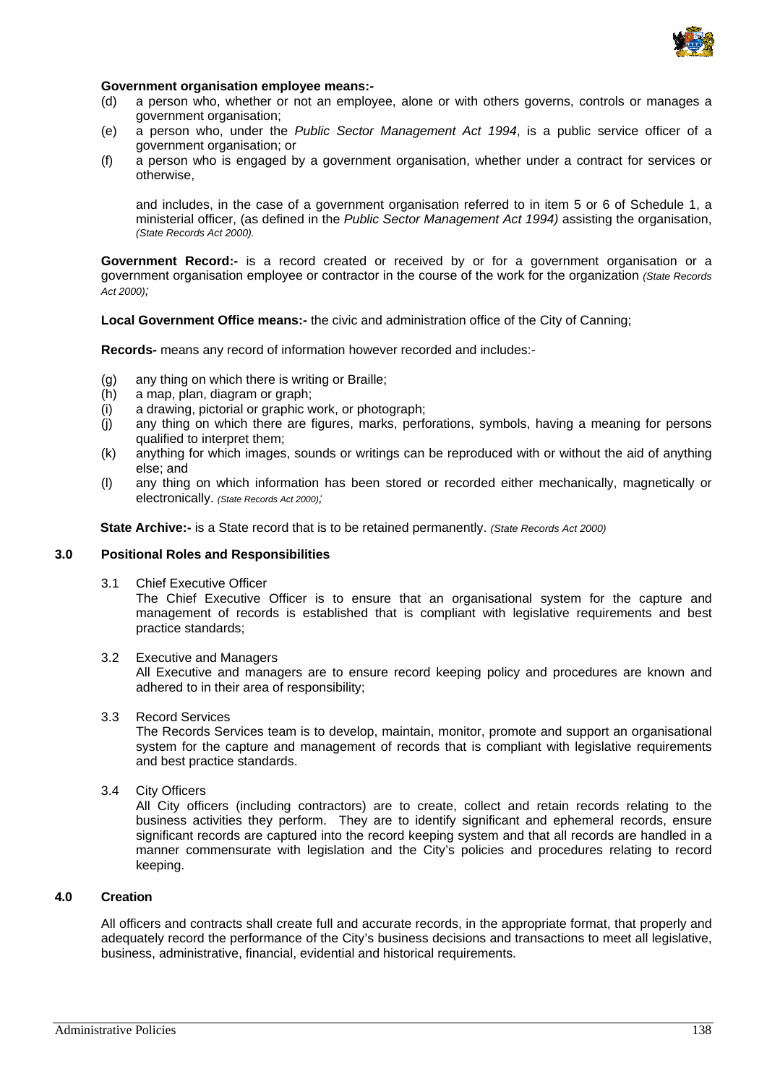

### **Government organisation employee means:-**

- (d) a person who, whether or not an employee, alone or with others governs, controls or manages a government organisation;
- (e) a person who, under the *Public Sector Management Act 1994*, is a public service officer of a government organisation; or
- (f) a person who is engaged by a government organisation, whether under a contract for services or otherwise,

and includes, in the case of a government organisation referred to in item 5 or 6 of Schedule 1, a ministerial officer, (as defined in the *Public Sector Management Act 1994)* assisting the organisation, *(State Records Act 2000).*

Government Record:- is a record created or received by or for a government organisation or a government organisation employee or contractor in the course of the work for the organization *(State Records Act 2000);*

**Local Government Office means:-** the civic and administration office of the City of Canning;

**Records-** means any record of information however recorded and includes:-

- (g) any thing on which there is writing or Braille;
- (h) a map, plan, diagram or graph;
- (i) a drawing, pictorial or graphic work, or photograph;
- (j) any thing on which there are figures, marks, perforations, symbols, having a meaning for persons qualified to interpret them;
- (k) anything for which images, sounds or writings can be reproduced with or without the aid of anything else; and
- (l) any thing on which information has been stored or recorded either mechanically, magnetically or electronically. *(State Records Act 2000);*

**State Archive:-** is a State record that is to be retained permanently. *(State Records Act 2000)* 

# **3.0 Positional Roles and Responsibilities**

3.1 Chief Executive Officer

The Chief Executive Officer is to ensure that an organisational system for the capture and management of records is established that is compliant with legislative requirements and best practice standards;

3.2 Executive and Managers

All Executive and managers are to ensure record keeping policy and procedures are known and adhered to in their area of responsibility;

3.3 Record Services

The Records Services team is to develop, maintain, monitor, promote and support an organisational system for the capture and management of records that is compliant with legislative requirements and best practice standards.

3.4 City Officers

All City officers (including contractors) are to create, collect and retain records relating to the business activities they perform. They are to identify significant and ephemeral records, ensure significant records are captured into the record keeping system and that all records are handled in a manner commensurate with legislation and the City's policies and procedures relating to record keeping.

## **4.0 Creation**

All officers and contracts shall create full and accurate records, in the appropriate format, that properly and adequately record the performance of the City's business decisions and transactions to meet all legislative, business, administrative, financial, evidential and historical requirements.